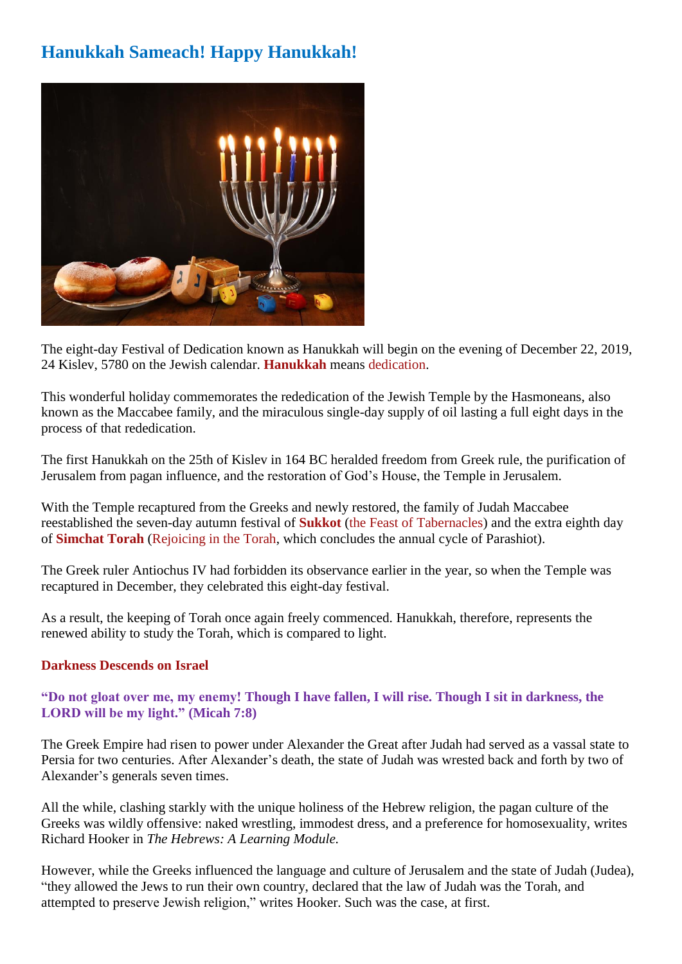# **Hanukkah Sameach! Happy Hanukkah!**



The eight-day Festival of Dedication known as Hanukkah will begin on the evening of December 22, 2019, 24 Kislev, 5780 on the Jewish calendar. **Hanukkah** means dedication.

This wonderful holiday commemorates the rededication of the Jewish Temple by the Hasmoneans, also known as the Maccabee family, and the miraculous single-day supply of oil lasting a full eight days in the process of that rededication.

The first Hanukkah on the 25th of Kislev in 164 BC heralded freedom from Greek rule, the purification of Jerusalem from pagan influence, and the restoration of God's House, the Temple in Jerusalem.

With the Temple recaptured from the Greeks and newly restored, the family of Judah Maccabee reestablished the seven-day autumn festival of **Sukkot** (the Feast of Tabernacles) and the extra eighth day of **Simchat Torah** (Rejoicing in the Torah, which concludes the annual cycle of Parashiot).

The Greek ruler Antiochus IV had forbidden its observance earlier in the year, so when the Temple was recaptured in December, they celebrated this eight-day festival.

As a result, the keeping of Torah once again freely commenced. Hanukkah, therefore, represents the renewed ability to study the Torah, which is compared to light.

## **Darkness Descends on Israel**

## **"Do not gloat over me, my enemy! Though I have fallen, I will rise. Though I sit in darkness, the LORD will be my light." (Micah 7:8)**

The Greek Empire had risen to power under Alexander the Great after Judah had served as a vassal state to Persia for two centuries. After Alexander's death, the state of Judah was wrested back and forth by two of Alexander's generals seven times.

All the while, clashing starkly with the unique holiness of the Hebrew religion, the pagan culture of the Greeks was wildly offensive: naked wrestling, immodest dress, and a preference for homosexuality, writes Richard Hooker in *The Hebrews: A Learning Module.*

However, while the Greeks influenced the language and culture of Jerusalem and the state of Judah (Judea), "they allowed the Jews to run their own country, declared that the law of Judah was the Torah, and attempted to preserve Jewish religion," writes Hooker. Such was the case, at first.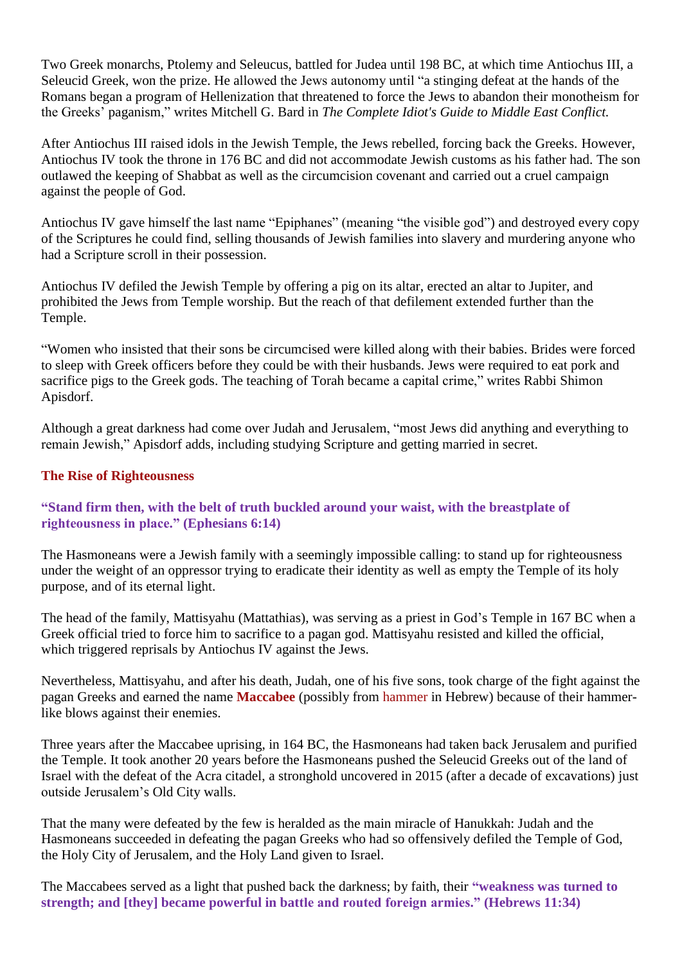Two Greek monarchs, Ptolemy and Seleucus, battled for Judea until 198 BC, at which time Antiochus III, a Seleucid Greek, won the prize. He allowed the Jews autonomy until "a stinging defeat at the hands of the Romans began a program of Hellenization that threatened to force the Jews to abandon their monotheism for the Greeks' paganism," writes Mitchell G. Bard in *The Complete Idiot's Guide to Middle East Conflict.*

After Antiochus III raised idols in the Jewish Temple, the Jews rebelled, forcing back the Greeks. However, Antiochus IV took the throne in 176 BC and did not accommodate Jewish customs as his father had. The son outlawed the keeping of Shabbat as well as the circumcision covenant and carried out a cruel campaign against the people of God.

Antiochus IV gave himself the last name "Epiphanes" (meaning "the visible god") and destroyed every copy of the Scriptures he could find, selling thousands of Jewish families into slavery and murdering anyone who had a Scripture scroll in their possession.

Antiochus IV defiled the Jewish Temple by offering a pig on its altar, erected an altar to Jupiter, and prohibited the Jews from Temple worship. But the reach of that defilement extended further than the Temple.

"Women who insisted that their sons be circumcised were killed along with their babies. Brides were forced to sleep with Greek officers before they could be with their husbands. Jews were required to eat pork and sacrifice pigs to the Greek gods. The teaching of Torah became a capital crime," writes Rabbi Shimon Apisdorf.

Although a great darkness had come over Judah and Jerusalem, "most Jews did anything and everything to remain Jewish," Apisdorf adds, including studying Scripture and getting married in secret.

#### **The Rise of Righteousness**

#### **"Stand firm then, with the belt of truth buckled around your waist, with the breastplate of righteousness in place." (Ephesians 6:14)**

The Hasmoneans were a Jewish family with a seemingly impossible calling: to stand up for righteousness under the weight of an oppressor trying to eradicate their identity as well as empty the Temple of its holy purpose, and of its eternal light.

The head of the family, Mattisyahu (Mattathias), was serving as a priest in God's Temple in 167 BC when a Greek official tried to force him to sacrifice to a pagan god. Mattisyahu resisted and killed the official, which triggered reprisals by Antiochus IV against the Jews.

Nevertheless, Mattisyahu, and after his death, Judah, one of his five sons, took charge of the fight against the pagan Greeks and earned the name **Maccabee** (possibly from hammer in Hebrew) because of their hammerlike blows against their enemies.

Three years after the Maccabee uprising, in 164 BC, the Hasmoneans had taken back Jerusalem and purified the Temple. It took another 20 years before the Hasmoneans pushed the Seleucid Greeks out of the land of Israel with the defeat of the Acra citadel, a stronghold uncovered in 2015 (after a decade of excavations) just outside Jerusalem's Old City walls.

That the many were defeated by the few is heralded as the main miracle of Hanukkah: Judah and the Hasmoneans succeeded in defeating the pagan Greeks who had so offensively defiled the Temple of God, the Holy City of Jerusalem, and the Holy Land given to Israel.

The Maccabees served as a light that pushed back the darkness; by faith, their **"weakness was turned to strength; and [they] became powerful in battle and routed foreign armies." (Hebrews 11:34)**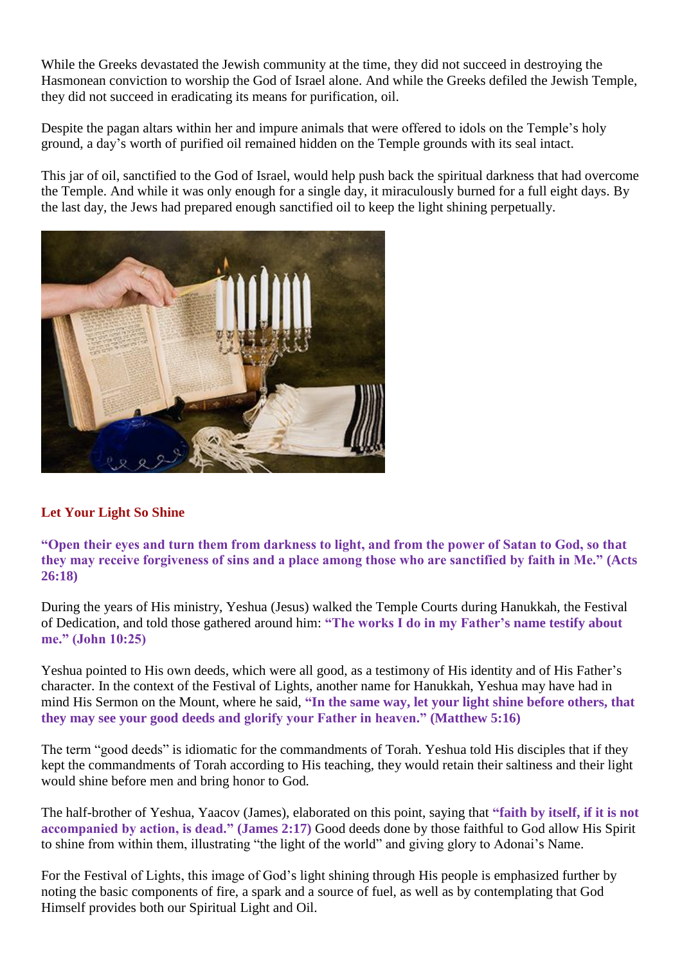While the Greeks devastated the Jewish community at the time, they did not succeed in destroying the Hasmonean conviction to worship the God of Israel alone. And while the Greeks defiled the Jewish Temple, they did not succeed in eradicating its means for purification, oil.

Despite the pagan altars within her and impure animals that were offered to idols on the Temple's holy ground, a day's worth of purified oil remained hidden on the Temple grounds with its seal intact.

This jar of oil, sanctified to the God of Israel, would help push back the spiritual darkness that had overcome the Temple. And while it was only enough for a single day, it miraculously burned for a full eight days. By the last day, the Jews had prepared enough sanctified oil to keep the light shining perpetually.



## **Let Your Light So Shine**

**"Open their eyes and turn them from darkness to light, and from the power of Satan to God, so that they may receive forgiveness of sins and a place among those who are sanctified by faith in Me." (Acts 26:18)**

During the years of His ministry, Yeshua (Jesus) walked the Temple Courts during Hanukkah, the Festival of Dedication, and told those gathered around him: **"The works I do in my Father's name testify about me." (John 10:25)**

Yeshua pointed to His own deeds, which were all good, as a testimony of His identity and of His Father's character. In the context of the Festival of Lights, another name for Hanukkah, Yeshua may have had in mind His Sermon on the Mount, where he said, **"In the same way, let your light shine before others, that they may see your good deeds and glorify your Father in heaven." (Matthew 5:16)**

The term "good deeds" is idiomatic for the commandments of Torah. Yeshua told His disciples that if they kept the commandments of Torah according to His teaching, they would retain their saltiness and their light would shine before men and bring honor to God*.*

The half-brother of Yeshua, Yaacov (James), elaborated on this point, saying that **"faith by itself, if it is not accompanied by action, is dead." (James 2:17)** Good deeds done by those faithful to God allow His Spirit to shine from within them, illustrating "the light of the world" and giving glory to Adonai's Name.

For the Festival of Lights, this image of God's light shining through His people is emphasized further by noting the basic components of fire, a spark and a source of fuel, as well as by contemplating that God Himself provides both our Spiritual Light and Oil.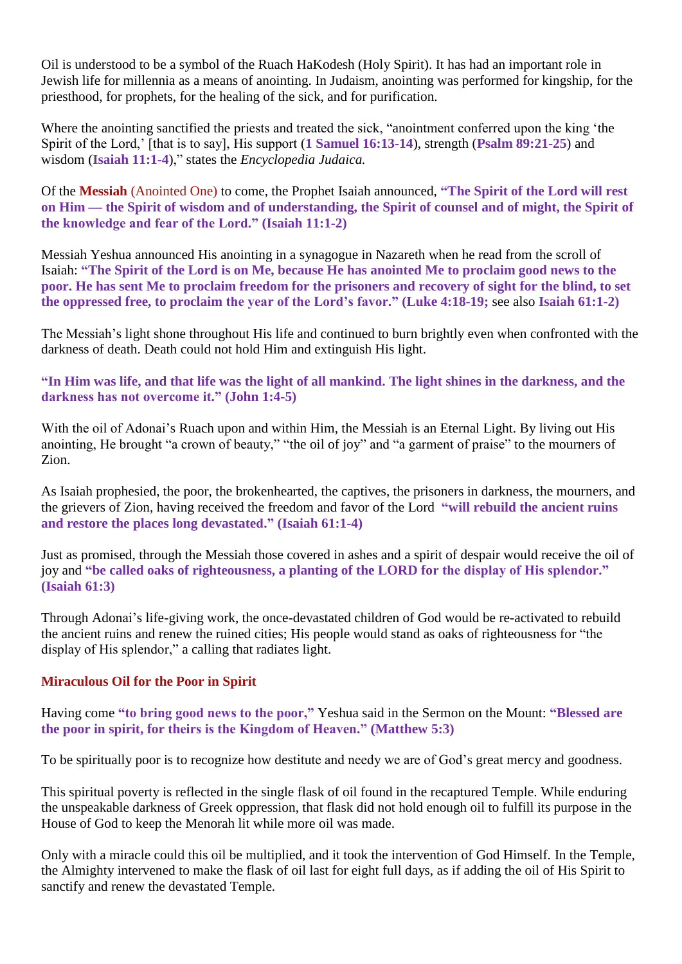Oil is understood to be a symbol of the Ruach HaKodesh (Holy Spirit). It has had an important role in Jewish life for millennia as a means of anointing. In Judaism, anointing was performed for kingship, for the priesthood, for prophets, for the healing of the sick, and for purification.

Where the anointing sanctified the priests and treated the sick, "anointment conferred upon the king 'the Spirit of the Lord,' [that is to say], His support (**1 Samuel 16:13-14**), strength (**Psalm 89:21-25**) and wisdom (**Isaiah 11:1-4**)," states the *Encyclopedia Judaica.*

Of the **Messiah** (Anointed One) to come, the Prophet Isaiah announced, **"The Spirit of the Lord will rest on Him — the Spirit of wisdom and of understanding, the Spirit of counsel and of might, the Spirit of the knowledge and fear of the Lord." (Isaiah 11:1-2)**

Messiah Yeshua announced His anointing in a synagogue in Nazareth when he read from the scroll of Isaiah: **"The Spirit of the Lord is on Me, because He has anointed Me to proclaim good news to the poor. He has sent Me to proclaim freedom for the prisoners and recovery of sight for the blind, to set the oppressed free, to proclaim the year of the Lord's favor." (Luke 4:18-19;** see also **Isaiah 61:1-2)**

The Messiah's light shone throughout His life and continued to burn brightly even when confronted with the darkness of death. Death could not hold Him and extinguish His light.

**"In Him was life, and that life was the light of all mankind. The light shines in the darkness, and the darkness has not overcome it." (John 1:4-5)**

With the oil of Adonai's Ruach upon and within Him, the Messiah is an Eternal Light. By living out His anointing, He brought "a crown of beauty," "the oil of joy" and "a garment of praise" to the mourners of Zion.

As Isaiah prophesied, the poor, the brokenhearted, the captives, the prisoners in darkness, the mourners, and the grievers of Zion, having received the freedom and favor of the Lord **"will rebuild the ancient ruins and restore the places long devastated." (Isaiah 61:1-4)**

Just as promised, through the Messiah those covered in ashes and a spirit of despair would receive the oil of joy and **"be called oaks of righteousness, a planting of the LORD for the display of His splendor." (Isaiah 61:3)**

Through Adonai's life-giving work, the once-devastated children of God would be re-activated to rebuild the ancient ruins and renew the ruined cities; His people would stand as oaks of righteousness for "the display of His splendor," a calling that radiates light.

## **Miraculous Oil for the Poor in Spirit**

Having come **"to bring good news to the poor,"** Yeshua said in the Sermon on the Mount: **"Blessed are the poor in spirit, for theirs is the Kingdom of Heaven." (Matthew 5:3)**

To be spiritually poor is to recognize how destitute and needy we are of God's great mercy and goodness.

This spiritual poverty is reflected in the single flask of oil found in the recaptured Temple. While enduring the unspeakable darkness of Greek oppression, that flask did not hold enough oil to fulfill its purpose in the House of God to keep the Menorah lit while more oil was made.

Only with a miracle could this oil be multiplied, and it took the intervention of God Himself. In the Temple, the Almighty intervened to make the flask of oil last for eight full days, as if adding the oil of His Spirit to sanctify and renew the devastated Temple.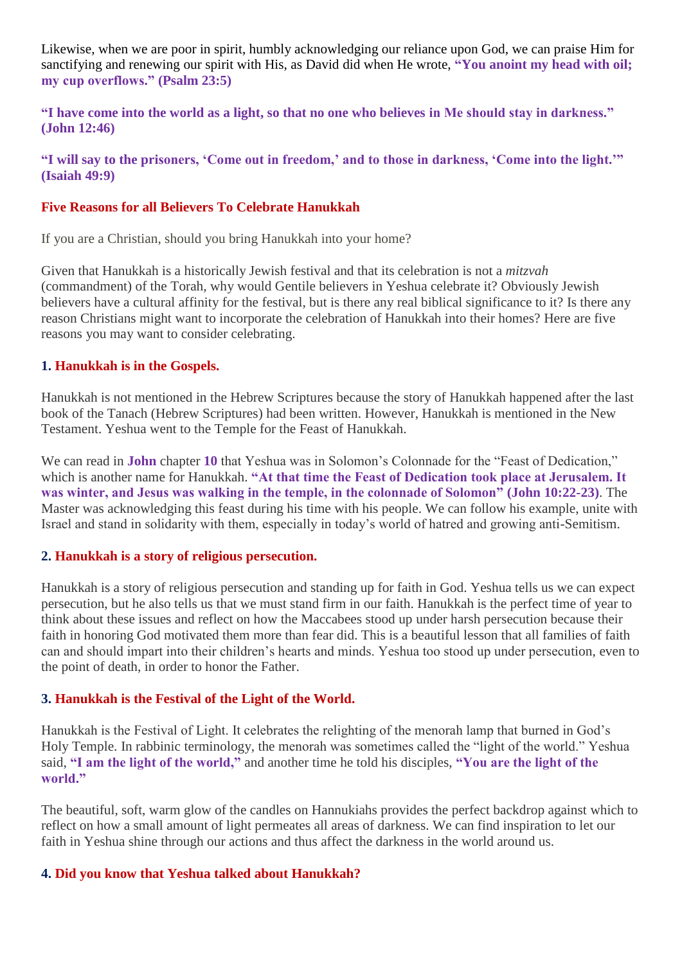Likewise, when we are poor in spirit, humbly acknowledging our reliance upon God, we can praise Him for sanctifying and renewing our spirit with His, as David did when He wrote, **"You anoint my head with oil; my cup overflows." (Psalm 23:5)**

**"I have come into the world as a light, so that no one who believes in Me should stay in darkness." (John 12:46)**

**"I will say to the prisoners, 'Come out in freedom,' and to those in darkness, 'Come into the light.'" (Isaiah 49:9)**

## **Five Reasons for all Believers To Celebrate Hanukkah**

If you are a Christian, should you bring Hanukkah into your home?

Given that Hanukkah is a historically Jewish festival and that its celebration is not a *mitzvah*  (commandment) of the Torah, why would Gentile believers in Yeshua celebrate it? Obviously Jewish believers have a cultural affinity for the festival, but is there any real biblical significance to it? Is there any reason Christians might want to incorporate the celebration of Hanukkah into their homes? Here are five reasons you may want to consider celebrating.

## **1. Hanukkah is in the Gospels.**

Hanukkah is not mentioned in the Hebrew Scriptures because the story of Hanukkah happened after the last book of the Tanach (Hebrew Scriptures) had been written. However, Hanukkah is mentioned in the New Testament. Yeshua went to the Temple for the Feast of Hanukkah.

We can read in **John** chapter **10** that Yeshua was in Solomon's Colonnade for the "Feast of Dedication," which is another name for Hanukkah. **"At that time the Feast of Dedication took place at Jerusalem. It was winter, and Jesus was walking in the temple, in the colonnade of Solomon" (John 10:22-23)**. The Master was acknowledging this feast during his time with his people. We can follow his example, unite with Israel and stand in solidarity with them, especially in today's world of hatred and growing anti-Semitism.

# **2. Hanukkah is a story of religious persecution.**

Hanukkah is a story of religious persecution and standing up for faith in God. Yeshua tells us we can expect persecution, but he also tells us that we must stand firm in our faith. Hanukkah is the perfect time of year to think about these issues and reflect on how the Maccabees stood up under harsh persecution because their faith in honoring God motivated them more than fear did. This is a beautiful lesson that all families of faith can and should impart into their children's hearts and minds. Yeshua too stood up under persecution, even to the point of death, in order to honor the Father.

# **3. Hanukkah is the Festival of the Light of the World.**

Hanukkah is the Festival of Light. It celebrates the relighting of the menorah lamp that burned in God's Holy Temple. In rabbinic terminology, the menorah was sometimes called the "light of the world." Yeshua said, **"I am the light of the world,"** and another time he told his disciples, **"You are the light of the world."**

The beautiful, soft, warm glow of the candles on Hannukiahs provides the perfect backdrop against which to reflect on how a small amount of light permeates all areas of darkness. We can find inspiration to let our faith in Yeshua shine through our actions and thus affect the darkness in the world around us.

# **4. Did you know that Yeshua talked about Hanukkah?**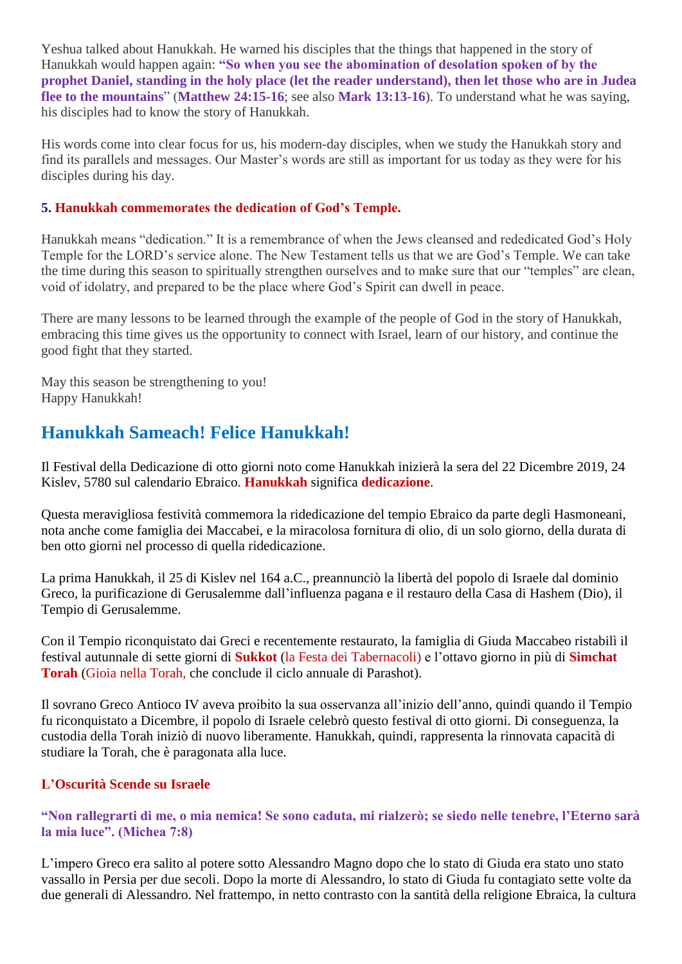Yeshua talked about Hanukkah. He warned his disciples that the things that happened in the story of Hanukkah would happen again: **"So when you see the abomination of desolation spoken of by the prophet Daniel, standing in the holy place (let the reader understand), then let those who are in Judea flee to the mountains**" (**Matthew 24:15-16**; see also **Mark 13:13-16**). To understand what he was saying, his disciples had to know the story of Hanukkah.

His words come into clear focus for us, his modern-day disciples, when we study the Hanukkah story and find its parallels and messages. Our Master's words are still as important for us today as they were for his disciples during his day.

## **5. Hanukkah commemorates the dedication of God's Temple.**

Hanukkah means "dedication." It is a remembrance of when the Jews cleansed and rededicated God's Holy Temple for the LORD's service alone. The New Testament tells us that we are God's Temple. We can take the time during this season to spiritually strengthen ourselves and to make sure that our "temples" are clean, void of idolatry, and prepared to be the place where God's Spirit can dwell in peace.

There are many lessons to be learned through the example of the people of God in the story of Hanukkah, embracing this time gives us the opportunity to connect with Israel, learn of our history, and continue the good fight that they started.

May this season be strengthening to you! Happy Hanukkah!

# **Hanukkah Sameach! Felice Hanukkah!**

Il Festival della Dedicazione di otto giorni noto come Hanukkah inizierà la sera del 22 Dicembre 2019, 24 Kislev, 5780 sul calendario Ebraico. **Hanukkah** significa **dedicazione**.

Questa meravigliosa festività commemora la ridedicazione del tempio Ebraico da parte degli Hasmoneani, nota anche come famiglia dei Maccabei, e la miracolosa fornitura di olio, di un solo giorno, della durata di ben otto giorni nel processo di quella ridedicazione.

La prima Hanukkah, il 25 di Kislev nel 164 a.C., preannunciò la libertà del popolo di Israele dal dominio Greco, la purificazione di Gerusalemme dall'influenza pagana e il restauro della Casa di Hashem (Dio), il Tempio di Gerusalemme.

Con il Tempio riconquistato dai Greci e recentemente restaurato, la famiglia di Giuda Maccabeo ristabilì il festival autunnale di sette giorni di **Sukkot** (la Festa dei Tabernacoli) e l'ottavo giorno in più di **Simchat Torah** (Gioia nella Torah, che conclude il ciclo annuale di Parashot).

Il sovrano Greco Antioco IV aveva proibito la sua osservanza all'inizio dell'anno, quindi quando il Tempio fu riconquistato a Dicembre, il popolo di Israele celebrò questo festival di otto giorni. Di conseguenza, la custodia della Torah iniziò di nuovo liberamente. Hanukkah, quindi, rappresenta la rinnovata capacità di studiare la Torah, che è paragonata alla luce.

## **L'Oscurità Scende su Israele**

**"Non rallegrarti di me, o mia nemica! Se sono caduta, mi rialzerò; se siedo nelle tenebre, l'Eterno sarà la mia luce". (Michea 7:8)**

L'impero Greco era salito al potere sotto Alessandro Magno dopo che lo stato di Giuda era stato uno stato vassallo in Persia per due secoli. Dopo la morte di Alessandro, lo stato di Giuda fu contagiato sette volte da due generali di Alessandro. Nel frattempo, in netto contrasto con la santità della religione Ebraica, la cultura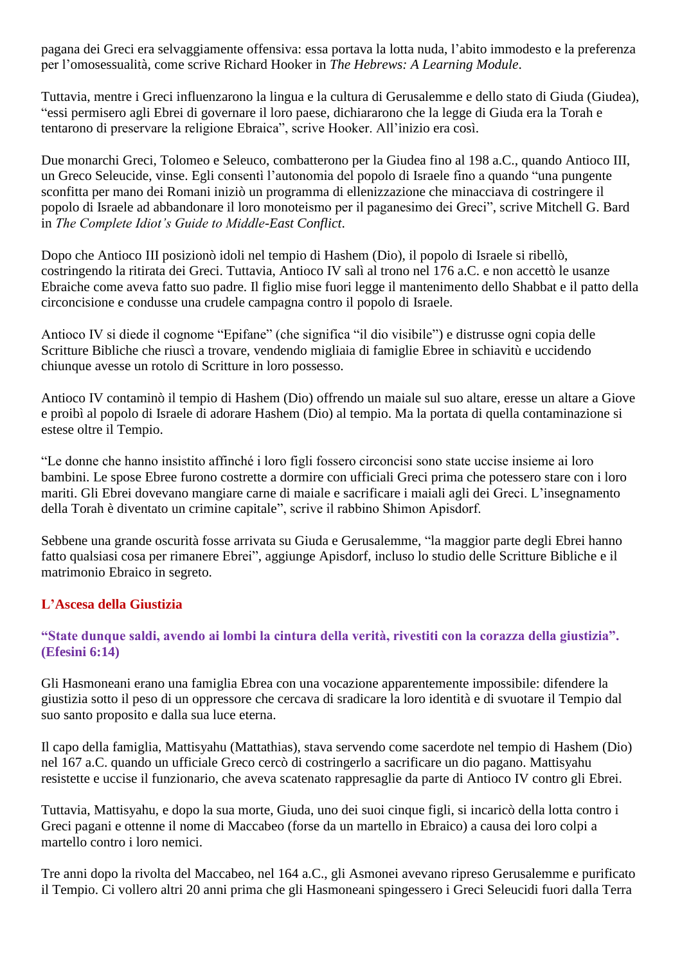pagana dei Greci era selvaggiamente offensiva: essa portava la lotta nuda, l'abito immodesto e la preferenza per l'omosessualità, come scrive Richard Hooker in *The Hebrews: A Learning Module*.

Tuttavia, mentre i Greci influenzarono la lingua e la cultura di Gerusalemme e dello stato di Giuda (Giudea), "essi permisero agli Ebrei di governare il loro paese, dichiararono che la legge di Giuda era la Torah e tentarono di preservare la religione Ebraica", scrive Hooker. All'inizio era così.

Due monarchi Greci, Tolomeo e Seleuco, combatterono per la Giudea fino al 198 a.C., quando Antioco III, un Greco Seleucide, vinse. Egli consentì l'autonomia del popolo di Israele fino a quando "una pungente sconfitta per mano dei Romani iniziò un programma di ellenizzazione che minacciava di costringere il popolo di Israele ad abbandonare il loro monoteismo per il paganesimo dei Greci", scrive Mitchell G. Bard in *The Complete Idiot's Guide to Middle-East Conflict*.

Dopo che Antioco III posizionò idoli nel tempio di Hashem (Dio), il popolo di Israele si ribellò, costringendo la ritirata dei Greci. Tuttavia, Antioco IV salì al trono nel 176 a.C. e non accettò le usanze Ebraiche come aveva fatto suo padre. Il figlio mise fuori legge il mantenimento dello Shabbat e il patto della circoncisione e condusse una crudele campagna contro il popolo di Israele.

Antioco IV si diede il cognome "Epifane" (che significa "il dio visibile") e distrusse ogni copia delle Scritture Bibliche che riuscì a trovare, vendendo migliaia di famiglie Ebree in schiavitù e uccidendo chiunque avesse un rotolo di Scritture in loro possesso.

Antioco IV contaminò il tempio di Hashem (Dio) offrendo un maiale sul suo altare, eresse un altare a Giove e proibì al popolo di Israele di adorare Hashem (Dio) al tempio. Ma la portata di quella contaminazione si estese oltre il Tempio.

"Le donne che hanno insistito affinché i loro figli fossero circoncisi sono state uccise insieme ai loro bambini. Le spose Ebree furono costrette a dormire con ufficiali Greci prima che potessero stare con i loro mariti. Gli Ebrei dovevano mangiare carne di maiale e sacrificare i maiali agli dei Greci. L'insegnamento della Torah è diventato un crimine capitale", scrive il rabbino Shimon Apisdorf.

Sebbene una grande oscurità fosse arrivata su Giuda e Gerusalemme, "la maggior parte degli Ebrei hanno fatto qualsiasi cosa per rimanere Ebrei", aggiunge Apisdorf, incluso lo studio delle Scritture Bibliche e il matrimonio Ebraico in segreto.

# **L'Ascesa della Giustizia**

## **"State dunque saldi, avendo ai lombi la cintura della verità, rivestiti con la corazza della giustizia". (Efesini 6:14)**

Gli Hasmoneani erano una famiglia Ebrea con una vocazione apparentemente impossibile: difendere la giustizia sotto il peso di un oppressore che cercava di sradicare la loro identità e di svuotare il Tempio dal suo santo proposito e dalla sua luce eterna.

Il capo della famiglia, Mattisyahu (Mattathias), stava servendo come sacerdote nel tempio di Hashem (Dio) nel 167 a.C. quando un ufficiale Greco cercò di costringerlo a sacrificare un dio pagano. Mattisyahu resistette e uccise il funzionario, che aveva scatenato rappresaglie da parte di Antioco IV contro gli Ebrei.

Tuttavia, Mattisyahu, e dopo la sua morte, Giuda, uno dei suoi cinque figli, si incaricò della lotta contro i Greci pagani e ottenne il nome di Maccabeo (forse da un martello in Ebraico) a causa dei loro colpi a martello contro i loro nemici.

Tre anni dopo la rivolta del Maccabeo, nel 164 a.C., gli Asmonei avevano ripreso Gerusalemme e purificato il Tempio. Ci vollero altri 20 anni prima che gli Hasmoneani spingessero i Greci Seleucidi fuori dalla Terra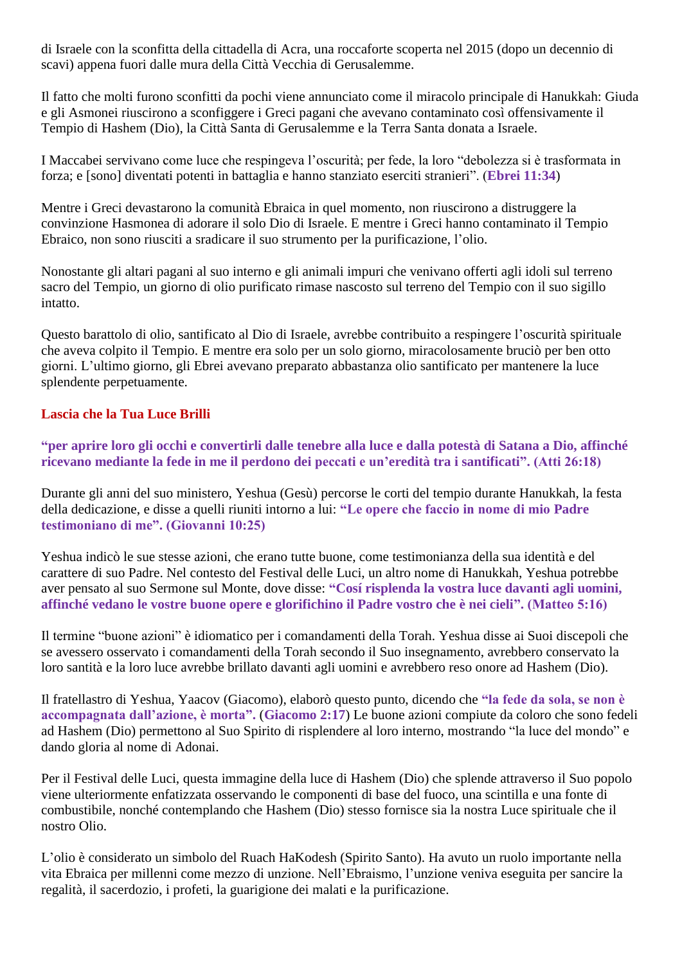di Israele con la sconfitta della cittadella di Acra, una roccaforte scoperta nel 2015 (dopo un decennio di scavi) appena fuori dalle mura della Città Vecchia di Gerusalemme.

Il fatto che molti furono sconfitti da pochi viene annunciato come il miracolo principale di Hanukkah: Giuda e gli Asmonei riuscirono a sconfiggere i Greci pagani che avevano contaminato così offensivamente il Tempio di Hashem (Dio), la Città Santa di Gerusalemme e la Terra Santa donata a Israele.

I Maccabei servivano come luce che respingeva l'oscurità; per fede, la loro "debolezza si è trasformata in forza; e [sono] diventati potenti in battaglia e hanno stanziato eserciti stranieri". (**Ebrei 11:34**)

Mentre i Greci devastarono la comunità Ebraica in quel momento, non riuscirono a distruggere la convinzione Hasmonea di adorare il solo Dio di Israele. E mentre i Greci hanno contaminato il Tempio Ebraico, non sono riusciti a sradicare il suo strumento per la purificazione, l'olio.

Nonostante gli altari pagani al suo interno e gli animali impuri che venivano offerti agli idoli sul terreno sacro del Tempio, un giorno di olio purificato rimase nascosto sul terreno del Tempio con il suo sigillo intatto.

Questo barattolo di olio, santificato al Dio di Israele, avrebbe contribuito a respingere l'oscurità spirituale che aveva colpito il Tempio. E mentre era solo per un solo giorno, miracolosamente bruciò per ben otto giorni. L'ultimo giorno, gli Ebrei avevano preparato abbastanza olio santificato per mantenere la luce splendente perpetuamente.

## **Lascia che la Tua Luce Brilli**

**"per aprire loro gli occhi e convertirli dalle tenebre alla luce e dalla potestà di Satana a Dio, affinché ricevano mediante la fede in me il perdono dei peccati e un'eredità tra i santificati". (Atti 26:18)**

Durante gli anni del suo ministero, Yeshua (Gesù) percorse le corti del tempio durante Hanukkah, la festa della dedicazione, e disse a quelli riuniti intorno a lui: **"Le opere che faccio in nome di mio Padre testimoniano di me". (Giovanni 10:25)**

Yeshua indicò le sue stesse azioni, che erano tutte buone, come testimonianza della sua identità e del carattere di suo Padre. Nel contesto del Festival delle Luci, un altro nome di Hanukkah, Yeshua potrebbe aver pensato al suo Sermone sul Monte, dove disse: **"Cosí risplenda la vostra luce davanti agli uomini, affinché vedano le vostre buone opere e glorifichino il Padre vostro che è nei cieli". (Matteo 5:16)**

Il termine "buone azioni" è idiomatico per i comandamenti della Torah. Yeshua disse ai Suoi discepoli che se avessero osservato i comandamenti della Torah secondo il Suo insegnamento, avrebbero conservato la loro santità e la loro luce avrebbe brillato davanti agli uomini e avrebbero reso onore ad Hashem (Dio).

Il fratellastro di Yeshua, Yaacov (Giacomo), elaborò questo punto, dicendo che **"la fede da sola, se non è accompagnata dall'azione, è morta".** (**Giacomo 2:17**) Le buone azioni compiute da coloro che sono fedeli ad Hashem (Dio) permettono al Suo Spirito di risplendere al loro interno, mostrando "la luce del mondo" e dando gloria al nome di Adonai.

Per il Festival delle Luci, questa immagine della luce di Hashem (Dio) che splende attraverso il Suo popolo viene ulteriormente enfatizzata osservando le componenti di base del fuoco, una scintilla e una fonte di combustibile, nonché contemplando che Hashem (Dio) stesso fornisce sia la nostra Luce spirituale che il nostro Olio.

L'olio è considerato un simbolo del Ruach HaKodesh (Spirito Santo). Ha avuto un ruolo importante nella vita Ebraica per millenni come mezzo di unzione. Nell'Ebraismo, l'unzione veniva eseguita per sancire la regalità, il sacerdozio, i profeti, la guarigione dei malati e la purificazione.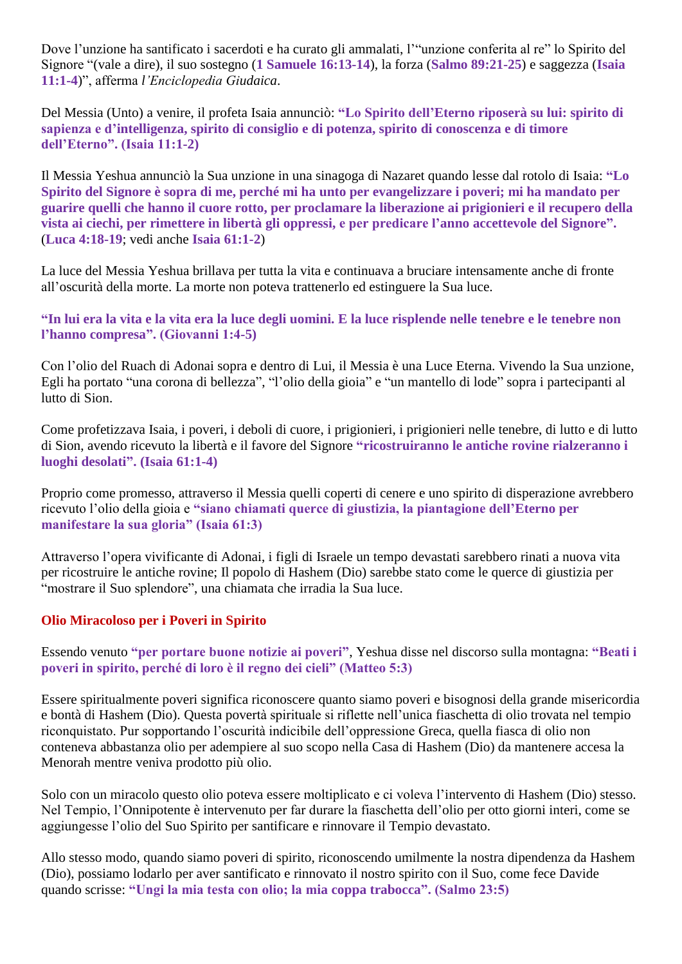Dove l'unzione ha santificato i sacerdoti e ha curato gli ammalati, l'"unzione conferita al re" lo Spirito del Signore "(vale a dire), il suo sostegno (**1 Samuele 16:13-14**), la forza (**Salmo 89:21-25**) e saggezza (**Isaia 11:1-4**)", afferma *l'Enciclopedia Giudaica*.

Del Messia (Unto) a venire, il profeta Isaia annunciò: **"Lo Spirito dell'Eterno riposerà su lui: spirito di sapienza e d'intelligenza, spirito di consiglio e di potenza, spirito di conoscenza e di timore dell'Eterno". (Isaia 11:1-2)**

Il Messia Yeshua annunciò la Sua unzione in una sinagoga di Nazaret quando lesse dal rotolo di Isaia: **"Lo Spirito del Signore è sopra di me, perché mi ha unto per evangelizzare i poveri; mi ha mandato per guarire quelli che hanno il cuore rotto, per proclamare la liberazione ai prigionieri e il recupero della vista ai ciechi, per rimettere in libertà gli oppressi, e per predicare l'anno accettevole del Signore".**  (**Luca 4:18-19**; vedi anche **Isaia 61:1-2**)

La luce del Messia Yeshua brillava per tutta la vita e continuava a bruciare intensamente anche di fronte all'oscurità della morte. La morte non poteva trattenerlo ed estinguere la Sua luce.

**"In lui era la vita e la vita era la luce degli uomini. E la luce risplende nelle tenebre e le tenebre non l'hanno compresa". (Giovanni 1:4-5)**

Con l'olio del Ruach di Adonai sopra e dentro di Lui, il Messia è una Luce Eterna. Vivendo la Sua unzione, Egli ha portato "una corona di bellezza", "l'olio della gioia" e "un mantello di lode" sopra i partecipanti al lutto di Sion.

Come profetizzava Isaia, i poveri, i deboli di cuore, i prigionieri, i prigionieri nelle tenebre, di lutto e di lutto di Sion, avendo ricevuto la libertà e il favore del Signore **"ricostruiranno le antiche rovine rialzeranno i luoghi desolati". (Isaia 61:1-4)**

Proprio come promesso, attraverso il Messia quelli coperti di cenere e uno spirito di disperazione avrebbero ricevuto l'olio della gioia e **"siano chiamati querce di giustizia, la piantagione dell'Eterno per manifestare la sua gloria" (Isaia 61:3)**

Attraverso l'opera vivificante di Adonai, i figli di Israele un tempo devastati sarebbero rinati a nuova vita per ricostruire le antiche rovine; Il popolo di Hashem (Dio) sarebbe stato come le querce di giustizia per "mostrare il Suo splendore", una chiamata che irradia la Sua luce.

#### **Olio Miracoloso per i Poveri in Spirito**

Essendo venuto **"per portare buone notizie ai poveri"**, Yeshua disse nel discorso sulla montagna: **"Beati i poveri in spirito, perché di loro è il regno dei cieli" (Matteo 5:3)**

Essere spiritualmente poveri significa riconoscere quanto siamo poveri e bisognosi della grande misericordia e bontà di Hashem (Dio). Questa povertà spirituale si riflette nell'unica fiaschetta di olio trovata nel tempio riconquistato. Pur sopportando l'oscurità indicibile dell'oppressione Greca, quella fiasca di olio non conteneva abbastanza olio per adempiere al suo scopo nella Casa di Hashem (Dio) da mantenere accesa la Menorah mentre veniva prodotto più olio.

Solo con un miracolo questo olio poteva essere moltiplicato e ci voleva l'intervento di Hashem (Dio) stesso. Nel Tempio, l'Onnipotente è intervenuto per far durare la fiaschetta dell'olio per otto giorni interi, come se aggiungesse l'olio del Suo Spirito per santificare e rinnovare il Tempio devastato.

Allo stesso modo, quando siamo poveri di spirito, riconoscendo umilmente la nostra dipendenza da Hashem (Dio), possiamo lodarlo per aver santificato e rinnovato il nostro spirito con il Suo, come fece Davide quando scrisse: **"Ungi la mia testa con olio; la mia coppa trabocca". (Salmo 23:5)**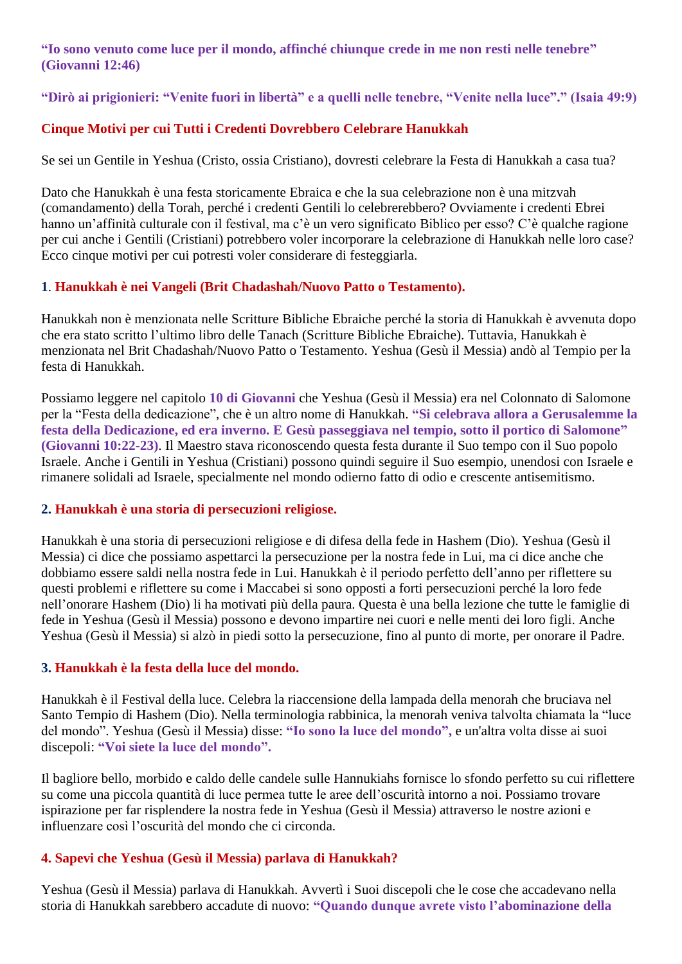#### **"Io sono venuto come luce per il mondo, affinché chiunque crede in me non resti nelle tenebre" (Giovanni 12:46)**

**"Dirò ai prigionieri: "Venite fuori in libertà" e a quelli nelle tenebre, "Venite nella luce"." (Isaia 49:9)**

# **Cinque Motivi per cui Tutti i Credenti Dovrebbero Celebrare Hanukkah**

Se sei un Gentile in Yeshua (Cristo, ossia Cristiano), dovresti celebrare la Festa di Hanukkah a casa tua?

Dato che Hanukkah è una festa storicamente Ebraica e che la sua celebrazione non è una mitzvah (comandamento) della Torah, perché i credenti Gentili lo celebrerebbero? Ovviamente i credenti Ebrei hanno un'affinità culturale con il festival, ma c'è un vero significato Biblico per esso? C'è qualche ragione per cui anche i Gentili (Cristiani) potrebbero voler incorporare la celebrazione di Hanukkah nelle loro case? Ecco cinque motivi per cui potresti voler considerare di festeggiarla.

# **1**. **Hanukkah è nei Vangeli (Brit Chadashah/Nuovo Patto o Testamento).**

Hanukkah non è menzionata nelle Scritture Bibliche Ebraiche perché la storia di Hanukkah è avvenuta dopo che era stato scritto l'ultimo libro delle Tanach (Scritture Bibliche Ebraiche). Tuttavia, Hanukkah è menzionata nel Brit Chadashah/Nuovo Patto o Testamento. Yeshua (Gesù il Messia) andò al Tempio per la festa di Hanukkah.

Possiamo leggere nel capitolo **10 di Giovanni** che Yeshua (Gesù il Messia) era nel Colonnato di Salomone per la "Festa della dedicazione", che è un altro nome di Hanukkah. **"Si celebrava allora a Gerusalemme la festa della Dedicazione, ed era inverno. E Gesù passeggiava nel tempio, sotto il portico di Salomone" (Giovanni 10:22-23)**. Il Maestro stava riconoscendo questa festa durante il Suo tempo con il Suo popolo Israele. Anche i Gentili in Yeshua (Cristiani) possono quindi seguire il Suo esempio, unendosi con Israele e rimanere solidali ad Israele, specialmente nel mondo odierno fatto di odio e crescente antisemitismo.

# **2. Hanukkah è una storia di persecuzioni religiose.**

Hanukkah è una storia di persecuzioni religiose e di difesa della fede in Hashem (Dio). Yeshua (Gesù il Messia) ci dice che possiamo aspettarci la persecuzione per la nostra fede in Lui, ma ci dice anche che dobbiamo essere saldi nella nostra fede in Lui. Hanukkah è il periodo perfetto dell'anno per riflettere su questi problemi e riflettere su come i Maccabei si sono opposti a forti persecuzioni perché la loro fede nell'onorare Hashem (Dio) li ha motivati più della paura. Questa è una bella lezione che tutte le famiglie di fede in Yeshua (Gesù il Messia) possono e devono impartire nei cuori e nelle menti dei loro figli. Anche Yeshua (Gesù il Messia) si alzò in piedi sotto la persecuzione, fino al punto di morte, per onorare il Padre.

## **3. Hanukkah è la festa della luce del mondo.**

Hanukkah è il Festival della luce. Celebra la riaccensione della lampada della menorah che bruciava nel Santo Tempio di Hashem (Dio). Nella terminologia rabbinica, la menorah veniva talvolta chiamata la "luce del mondo". Yeshua (Gesù il Messia) disse: **"Io sono la luce del mondo",** e un'altra volta disse ai suoi discepoli: **"Voi siete la luce del mondo".**

Il bagliore bello, morbido e caldo delle candele sulle Hannukiahs fornisce lo sfondo perfetto su cui riflettere su come una piccola quantità di luce permea tutte le aree dell'oscurità intorno a noi. Possiamo trovare ispirazione per far risplendere la nostra fede in Yeshua (Gesù il Messia) attraverso le nostre azioni e influenzare così l'oscurità del mondo che ci circonda.

# **4. Sapevi che Yeshua (Gesù il Messia) parlava di Hanukkah?**

Yeshua (Gesù il Messia) parlava di Hanukkah. Avvertì i Suoi discepoli che le cose che accadevano nella storia di Hanukkah sarebbero accadute di nuovo: **"Quando dunque avrete visto l'abominazione della**